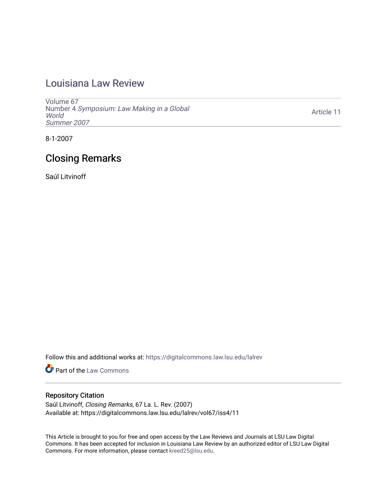## [Louisiana Law Review](https://digitalcommons.law.lsu.edu/lalrev)

[Volume 67](https://digitalcommons.law.lsu.edu/lalrev/vol67) Number 4 [Symposium: Law Making in a Global](https://digitalcommons.law.lsu.edu/lalrev/vol67/iss4) **[World](https://digitalcommons.law.lsu.edu/lalrev/vol67/iss4)** [Summer 2007](https://digitalcommons.law.lsu.edu/lalrev/vol67/iss4) 

[Article 11](https://digitalcommons.law.lsu.edu/lalrev/vol67/iss4/11) 

8-1-2007

# Closing Remarks

Saúl Litvinoff

Follow this and additional works at: [https://digitalcommons.law.lsu.edu/lalrev](https://digitalcommons.law.lsu.edu/lalrev?utm_source=digitalcommons.law.lsu.edu%2Flalrev%2Fvol67%2Fiss4%2F11&utm_medium=PDF&utm_campaign=PDFCoverPages)

Part of the [Law Commons](http://network.bepress.com/hgg/discipline/578?utm_source=digitalcommons.law.lsu.edu%2Flalrev%2Fvol67%2Fiss4%2F11&utm_medium=PDF&utm_campaign=PDFCoverPages)

#### Repository Citation

Saúl Litvinoff, Closing Remarks, 67 La. L. Rev. (2007) Available at: https://digitalcommons.law.lsu.edu/lalrev/vol67/iss4/11

This Article is brought to you for free and open access by the Law Reviews and Journals at LSU Law Digital Commons. It has been accepted for inclusion in Louisiana Law Review by an authorized editor of LSU Law Digital Commons. For more information, please contact [kreed25@lsu.edu](mailto:kreed25@lsu.edu).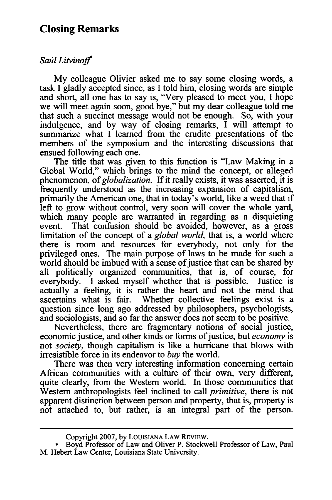### **Closing Remarks**

#### *Sal Litvinoff"*

My colleague Olivier asked me to say some closing words, a task I gladly accepted since, as I told him, closing words are simple and short, all one has to say is, "Very pleased to meet you, I hope we will meet again soon, good bye," but my dear colleague told me that such a succinct message would not be enough. So, with your indulgence, and by way of closing remarks, I will attempt to summarize what I learned from the erudite presentations of the members of the symposium and the interesting discussions that ensued following each one.

The title that was given to this function is "Law Making in a Global World," which brings to the mind the concept, or alleged phenomenon, of *globalization.* If it really exists, it was asserted, it is frequently understood as the increasing expansion of capitalism, primarily the American one, that in today's world, like a weed that if left to grow without control, very soon will cover the whole yard, which many people are warranted in regarding as a disquieting event. That confusion should be avoided, however, as a gross limitation of the concept of a *global world,* that is, a world where there is room and resources for everybody, not only for the privileged ones. The main purpose of laws to be made for such a world should be imbued with a sense of justice that can be shared by all politically organized communities, that is, of course, for everybody. I asked myself whether that is possible. Justice is actually a feeling, it is rather the heart and not the mind that ascertains what is fair. Whether collective feelings exist is a question since long ago addressed by philosophers, psychologists, and sociologists, and so far the answer does not seem to be positive.

Nevertheless, there are fragmentary notions of social justice, economic justice, and other kinds or forms of justice, but *economy* is not *society,* though capitalism is like a hurricane that blows with irresistible force in its endeavor to *buy* the world.

There was then very interesting information concerning certain African communities with a culture of their own, very different, quite clearly, from the Western world. In those communities that Western anthropologists feel inclined to call *primitive,* there is not apparent distinction between person and property, that is, property is not attached to, but rather, is an integral part of the person.

Copyright 2007, by LOUISIANA LAW REvIEW.

Boyd Professor of Law and Oliver P. Stockwell Professor of Law, Paul M. Hebert Law Center, Louisiana State University.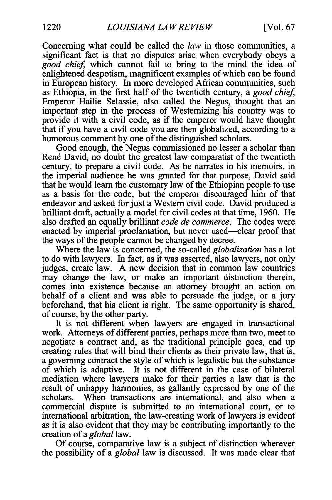Concerning what could be called the *law* in those communities, a significant fact is that no disputes arise when everybody obeys a *good chief* which cannot fail to bring to the mind the idea of enlightened despotism, magnificent examples of which can be found in European history. In more developed African communities, such as Ethiopia, in the first half of the twentieth century, a *good chief* Emperor Hailie Selassie, also called the Negus, thought that an important step in the process of Westernizing his country was to provide it with a civil code, as if the emperor would have thought that if you have a civil code you are then globalized, according to a humorous comment by one of the distinguished scholars.

Good enough, the Negus commissioned no lesser a scholar than René David, no doubt the greatest law comparatist of the twentieth century, to prepare a civil code. As he narrates in his memoirs, in the imperial audience he was granted for that purpose, David said that he would learn the customary law of the Ethiopian people to use as a basis for the code, but the emperor discouraged him of that endeavor and asked for just a Western civil code. David produced a brilliant draft, actually a model for civil codes at that time, 1960. He also drafted an equally brilliant *code de commerce.* The codes were enacted by imperial proclamation, but never used—clear proof that the ways of the people cannot be changed by decree.

Where the law is concerned, the so-called *globalization* has a lot to do with lawyers. In fact, as it was asserted, also lawyers, not only judges, create law. A new decision that in common law countries may change the law, or make an important distinction therein, comes into existence because an attorney brought an action on behalf of a client and was able to persuade the judge, or a jury beforehand, that his client is right. The same opportunity is shared, of course, by the other party.

It is not different when lawyers are engaged in transactional work. Attorneys of different parties, perhaps more than two, meet to negotiate a contract and, as the traditional principle goes, end up creating rules that will bind their clients as their private law, that is, a governing contract the style of which is legalistic but the substance of which is adaptive. It is not different in the case of bilateral mediation where lawyers make for their parties a law that is the result of unhappy harmonies, as gallantly expressed by one of the scholars. When transactions are international, and also when a commercial dispute is submitted to an international court, or to international arbitration, the law-creating work of lawyers is evident as it is also evident that they may be contributing importantly to the creation of a *global* law.

Of course, comparative law is a subject of distinction wherever the possibility of a *global* law is discussed. It was made clear that